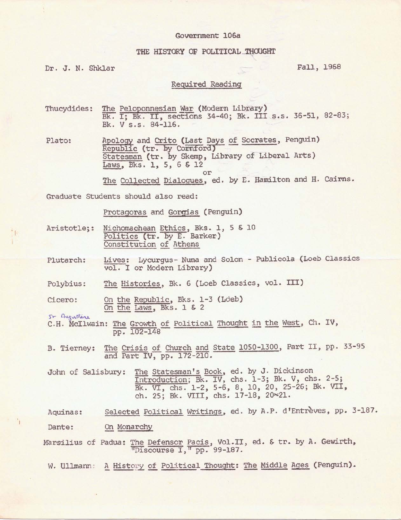## Government 106a

## THE HISTORY OF POLITICAL THOUGHT

Dr. J. N. Shklar Fall, 1968

## Required Reading

Thucydides: The Peloponnesian War (Modern Library) Bk. II, Bk. II, Bections 34-40; Bk. III s.s. 36-51, 82-83; Bk. V s.s. 84-116.

Plato: Apology and Crito (Last Days of Socrates, Penguin)<br>
Republic (tr. by Cornford)<br>
Statesman (tr. by Skemp, Library of Liberal Arts) *~,* Bks. **l, S,** 6 & 12 or

The Collected Dialogues, ed. by E. Hamilton and H. Cairns.

Graduate Students should also read:

Protagoras and Gorgias (Penguin)

- Aristotle;: Nichomachean Ethics, Bks. 1, 5 & 10 Politics (tr. by E. Barker) Constitution of Athens
- Plutarch: Lives: Lycurgus- Numa and Solon - Publicola (Loeb Classics vol. I or Modern Library)

Polybius: The Histories, Bk. 6 (Loeb Classics, vol. III)

Cicero: On the Republic, Bks. 1-3 (Loeb) On the Laws, Bks. l & 2

 $S\vdash$  Augustine

1

C.H. McIlwain: The Growth of Political Thought in the West, Ch. IV, pp. 102-148

B. Tierney: The Crisis of Church and State 1050-1300, Part II, pp. 33-95 and Part IV, pp. 172-210.

John of Salisbury: The Statesman's Book, ed. by J. Dickinson Introduction; Bk. IV, chs. 1-3; Bk. V, chs. 2-5; Bk. VI, chs. 1-2, 5-6, 8, 10, 20, 25-26; Bk. VII, ch. 25; Bk. VIII, chs. 17-18, 20~21.

Aquinas: Selected Political Writings, ed. by A.P. d'Entrèves, pp. 3-187.

Dante: On Monarchy

Marsilius of Padua: The Defensor Pacis, Vol.II, ed. & tr. by A. Gewirth, "Discourse I," pp. 99-187.

W. Ullmann: A History of Political Thought: The Middle Ages (Penguin).